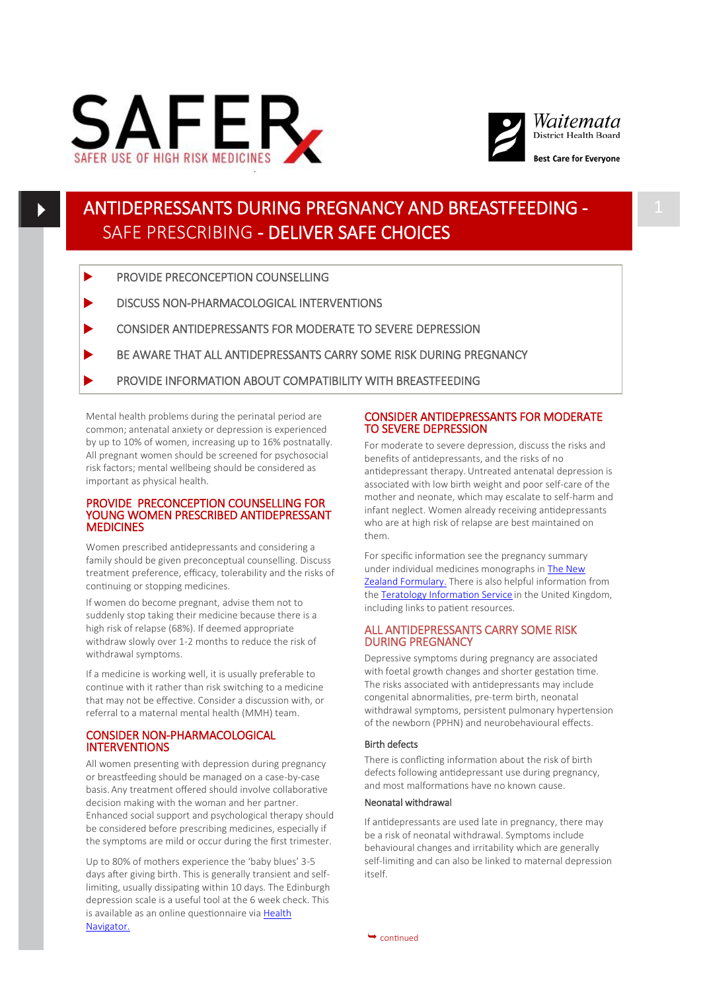



**Best Care for Evervone** 

# ANTIDEPRESSANTS DURING PREGNANCY AND BREASTFEEDING - SAFE PRESCRIBING - DELIVER SAFE CHOICES

- PROVIDE PRECONCEPTION COUNSELLING
- DISCUSS NON-PHARMACOLOGICAL INTERVENTIONS
- **EXECUTED EXAMPLE CONSIDER ANTIDEPRESSANTS FOR MODERATE TO SEVERE DEPRESSION**
- BE AWARE THAT ALL ANTIDEPRESSANTS CARRY SOME RISK DURING PREGNANCY
- PROVIDE INFORMATION ABOUT COMPATIBILITY WITH BREASTFEEDING

Mental health problems during the perinatal period are common; antenatal anxiety or depression is experienced by up to 10% of women, increasing up to 16% postnatally. All pregnant women should be screened for psychosocial risk factors; mental wellbeing should be considered as important as physical health.

## PROVIDE PRECONCEPTION COUNSELLING FOR YOUNG WOMEN PRESCRIBED ANTIDEPRESSANT **MEDICINES**

Women prescribed antidepressants and considering a family should be given preconceptual counselling. Discuss treatment preference, efficacy, tolerability and the risks of continuing or stopping medicines.

If women do become pregnant, advise them not to suddenly stop taking their medicine because there is a high risk of relapse (68%). If deemed appropriate withdraw slowly over 1-2 months to reduce the risk of withdrawal symptoms.

If a medicine is working well, it is usually preferable to continue with it rather than risk switching to a medicine that may not be effective. Consider a discussion with, or referral to a maternal mental health (MMH) team.

## CONSIDER NON-PHARMACOLOGICAL INTERVENTIONS

All women presenting with depression during pregnancy or breastfeeding should be managed on a case-by-case basis. Any treatment offered should involve collaborative decision making with the woman and her partner. Enhanced social support and psychological therapy should be considered before prescribing medicines, especially if the symptoms are mild or occur during the first trimester.

Up to 80% of mothers experience the 'baby blues' 3-5 days after giving birth. This is generally transient and selflimiting, usually dissipating within 10 days. The Edinburgh depression scale is a useful tool at the 6 week check. This is available as an online questionnaire via [Health](https://www.healthnavigator.org.nz/tools/e/edinburgh-postnatal-depression-scale/#Overview)  [Navigator.](https://www.healthnavigator.org.nz/tools/e/edinburgh-postnatal-depression-scale/#Overview)

## CONSIDER ANTIDEPRESSANTS FOR MODERATE TO SEVERE DEPRESSION

For moderate to severe depression, discuss the risks and benefits of antidepressants, and the risks of no antidepressant therapy.Untreated antenatal depression is associated with low birth weight and poor self-care of the mother and neonate, which may escalate to self-harm and infant neglect. Women already receiving antidepressants who are at high risk of relapse are best maintained on them.

For specific information see the pregnancy summary under individual medicines monographs in [The New](https://www.nzf.org.nz/)  [Zealand Formulary.](https://www.nzf.org.nz/) There is also helpful information from the [Teratology Information Service](http://www.uktis.org/) in the United Kingdom, including links to patient resources.

## ALL ANTIDEPRESSANTS CARRY SOME RISK DURING PREGNANCY

Depressive symptoms during pregnancy are associated with foetal growth changes and shorter gestation time. The risks associated with antidepressants may include congenital abnormalities, pre-term birth, neonatal withdrawal symptoms, persistent pulmonary hypertension of the newborn (PPHN) and neurobehavioural effects.

## Birth defects

There is conflicting information about the risk of birth defects following antidepressant use during pregnancy, and most malformations have no known cause.

## Neonatal withdrawal

If antidepressants are used late in pregnancy, there may be a risk of neonatal withdrawal. Symptoms include behavioural changes and irritability which are generally self-limiting and can also be linked to maternal depression  $i$ tre $\alpha$ 

 $\rightarrow$  continued